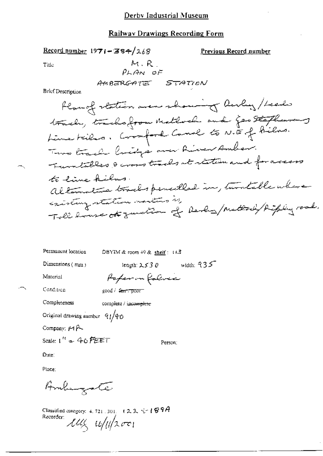#### Railway Drawings Recording Form

Record number  $1971 - 384/268$ 

Previous Record number

Title

M.R.  
\n
$$
\rho_{LAM, OF}
$$
\nAMBERGATE = STATION

Brief Description

| Permanent location | DBYIM & room $49$ & shelf : 11.3 |             |
|--------------------|----------------------------------|-------------|
| Dimensions $(mn)$  | length: $2530$                   | width: $35$ |

Material

Poper in folive good / farchpoort

Condition

Completeness

complete / ipcomplete

Original drawing number  $91/90$ 

Company: 14 P

Scale:  $\Gamma'' = 46$  FEET

Person:

Dute:

Place:

Ambergate

Classified category: 4, 721, 301,  $+22$ ,  $-7$   $+994$ Recorder luly u/11/2001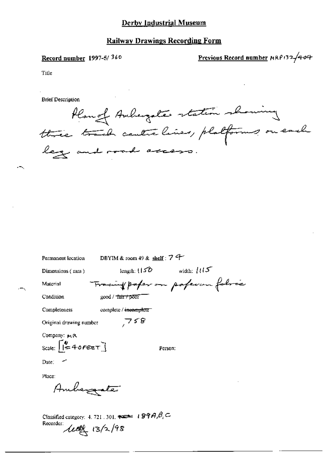#### Record number 1997-5/360

Previous Record number MRP132/404

Title

**Brief Description** 

flange Auburgates station showing leg and road access.

| Permanent location        | DBYIM & room 49 & shelf: $7$ $4$ |                                |
|---------------------------|----------------------------------|--------------------------------|
| Dimensions (mm)           | length: $(150 -$                 | width: $115$                   |
| Material                  |                                  | Tracing paper on poperon follo |
| Condition                 | good / Tair / poor               |                                |
| Completeness              | complete / incomplete            |                                |
| Original drawing number   | 758                              |                                |
| Company: MR               |                                  |                                |
| Scale: $\sqrt{240}$ FEET] |                                  | Person:                        |
| Date: $\sim$              |                                  |                                |
|                           |                                  |                                |

Ambergate

Place:

Classified category: 4, 721, 301,  $\overline{\bullet}$  = 199A, $\theta_i$ C Recorder: **Lett** 13/2/98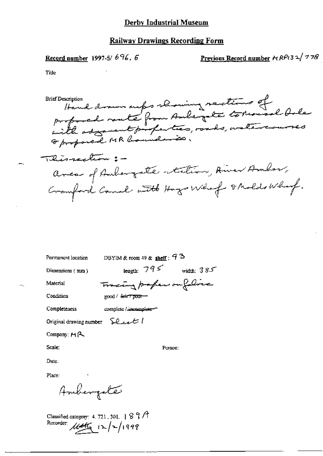#### Record number 1997-5/696, 6

Previous Record number HRP132/778

Title

respections that down out of the ming redions of **Brief Description** Oproposed MR localenão. Thissection : area of Anbergate station, Aired Ambor, Cramford Canal with Hays What I Molds What.

Permanent location

DBYIM & room 49 & shelf:  $92$ 

Tracing professor folice

Dimensions (mm)

length:  $795$  width:  $385$ 

Condition

Material

 $\gcd / 4$  and  $\sqrt{p}$ 

Completeness

complete / incomplete-

Original drawing number  $\sum_{k}$   $\ell_k$ 

Company:  $H_1A_2$ 

Scale:

Date:

Place:

Ambergate

Classified category: 4.721.301.  $897$ Recorder:  $\mu$ 

Person: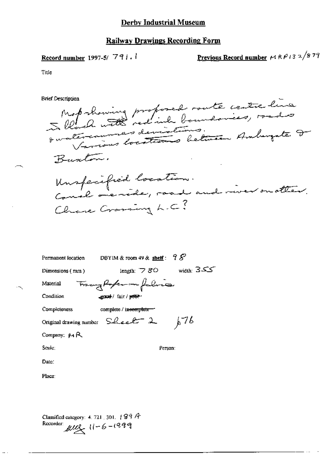## Record number 1997-5/791.1

Previous Record number  $\mu$  R  $\rho$  13  $\alpha$  /8 79

Title

**Brief Description** 

Mot showing proposed route centre line Buston. Unspecified location.<br>Concl overide, road and niver on otter. Chane Craming L.C?

| DBYIM & room 49 & shelf: $98$<br>Permanent location               |
|-------------------------------------------------------------------|
| width: $355$<br>length: $\triangledown$ $80$<br>Dimensions $(mm)$ |
| Trangforter in falsie<br>Material                                 |
| Condition<br>sported / fair / peter-                              |
| Completeness<br>complete / incomplete-                            |
| 676<br>Original drawing number $S$ -lee $\ell^-$ 2                |
| Company: MR                                                       |
| Scale:<br>Person:                                                 |
| Date:                                                             |
| Place:                                                            |
|                                                                   |

Classified category: 4, 721, 301,  $\sqrt{89}$   $\sqrt{7}$ Recorder:  $\mu u$ ,  $11 - 6 - 1999$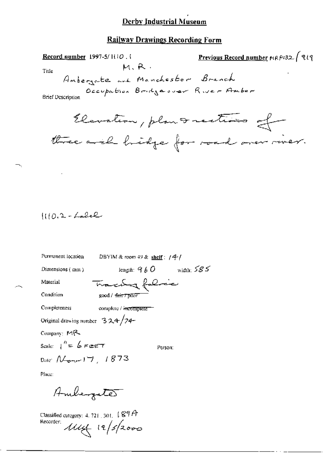#### **Railway Drawings Recording Form**

Previous Record number MRP132 / 919 Record number 1997-5/1110.1  $M, R$ . Title Ambergate and Manchester Branch Occupation Bridgeover River Amber **Brief Description** Elevation, plan Institution of three arch hidge for road over river.

$$
\{(10.2 - \text{Lalel})
$$

| Permanent location                  | DBYIM & room 49 & shelf : $/4/$ |              |
|-------------------------------------|---------------------------------|--------------|
| Dimensions (mm)                     | length: $9\,6\,O$               | width: $585$ |
| Material                            | Tracky folice                   |              |
| Condition                           | $\text{good}/\text{fair/prior}$ |              |
| Completeness                        | complete / incomplete ==        |              |
| Original drawing number $324/74$    |                                 |              |
| Company: MR                         |                                 |              |
| Scale: $1'' = 6$ Feet               | Person:                         |              |
| Date: $N_{\text{error}}$ $17, 1873$ |                                 |              |
| Place:                              |                                 |              |

Ambergate

Classified category: 4, 721 [301]  $\sqrt[4]{9}A$ Recorder:  $11/19/2000$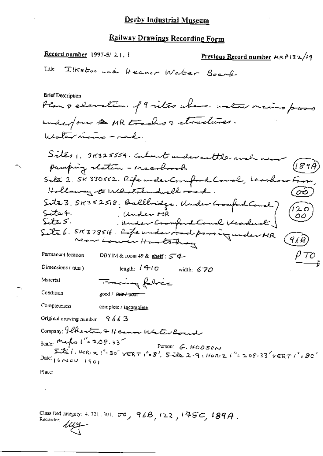Record number 1997-5/21,  $\frac{1}{2}$ Previous Record number  $MRP132/19$ Ilkston and Heaver Water Board Title **Brief Description** Plan & elevation of 9 vites where water mains pass underfour to MR tracks a structures. Water mains - red. Sites, 91825554. Calment undercattle and pamping station - neesbook Saté 2. SK 330552. Rife under Crouford Court, beashow Fo Holloway to Whitehandwell road. Site 3. 58352518. Bullbridge. Under Grouped Court)<br>Site 4. (Under MR)<br>Site 5. (Under Cromport Court Veaduct)<br>Site 6. 58378516. Life under road passing under HR (120<br>ر00  $\left(\widehat{q_{\ell} \widehat{\beta}}\right)$  $\rho_{TO}$ Permanent location DBYIM & room 49 & shelf :  $\mathcal{L}$ length:  $1410$  width: 670 Dimensions  $(mn)$ Material Tracing fabric Condition good / <del>fair / pour</del> **Completeness** complete / incomplete Original drawing number  $9663$ Company: Ilherton & Hermon Water Boar Scale: Maho 1'= 208.33<br>Side 1: Horiz 1'= 30 vERT 1'= 8' Side 2-9: Horiz 1'= 208.33 vERT 1'= 80 Date:  $16 \times c \cup i6c$ Place:

Classified category: 4, 721, 301,  $\sigma\sigma_{y}$ , 96B, 122, 145C, 189A. Recorder: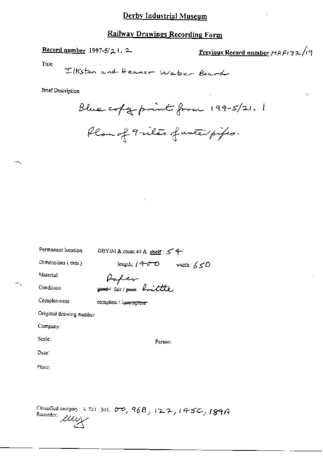## **Railway Drawings Recording Form**

## Record number 1997-5/21. 2

Previous Record number MRP132/19

Tide

Ilkston and Heaver Waber Board

**Brief Description** 

Blue copy point from 199-5/21. 1 Plan of 9 riles function pipes.

| Permanent location      | DBYIM & room 49 & shelf: $5^4$                   |
|-------------------------|--------------------------------------------------|
| Dimensions (mm)         | length: / $4\text{--}0\text{--}$<br>width: $650$ |
| Material                |                                                  |
| Condition               | Paper<br>good lair pour brittle                  |
| Completeness            | complete / incompteter                           |
| Original drawing number |                                                  |
| Company:                |                                                  |
| Scale:                  | Person:                                          |
| $_{\rm Duler}$          |                                                  |
| Place:                  |                                                  |
|                         |                                                  |
|                         |                                                  |
|                         |                                                  |

Classified energory: 4, 721, 301, 00, 968, 122, 1450, 189A Children 2007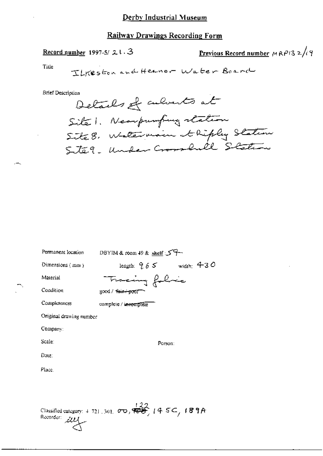Record number 1997-5/ $21.3$ 

Previous Record number 
$$
MRPI32/i9
$$

J

Title

⊷.

**Brief Description** 

Recorder: 200

| Permanent location      | DBYIM & room 49 & shelf ご子一                                                                     |
|-------------------------|-------------------------------------------------------------------------------------------------|
| Dimensions $(mn)$       | width: $430$<br>length: $265$                                                                   |
| Material                | Tracing folice                                                                                  |
| Condition               | good / fair+poor                                                                                |
| Completeness            | complete / incomplete                                                                           |
| Original drawing number |                                                                                                 |
| Company:                |                                                                                                 |
| Scale:                  | Person:                                                                                         |
| Date:                   |                                                                                                 |
| Place,                  |                                                                                                 |
|                         |                                                                                                 |
|                         |                                                                                                 |
| <b>Classical</b> Julie  | Classified category: 4 721, 301, $\sigma$ $\sigma$ , $\overleftrightarrow{33}$ , $(4.5C, 189A)$ |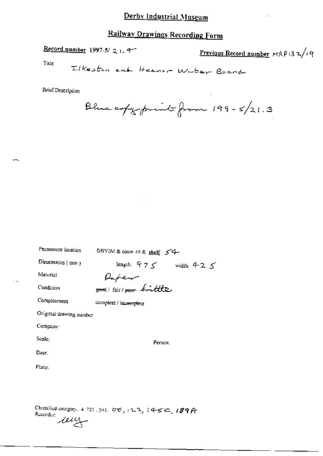# **Railway Drawings Recording Form**

Record number 1997-5/2 1.4

Previous Record number  $MRP132/uq$ 

Title

 $\sim$   $\sim$ 

Ilkesten end Heaner Water Board

**Brief Description** 

Blue copy print from 199-5/21.3

| Permanent location      | DBYIM & toom 49 & shelf: $54$ |
|-------------------------|-------------------------------|
| Dimensions $(mn)$       | length: $975$ width: $425$    |
| Material                |                               |
| Condition               | Rafer                         |
| Completeness            | complete / imcomplete         |
| Original drawing number |                               |
| Company:                |                               |
| Scale:                  | Person;                       |
| Date:                   |                               |
| Place:                  |                               |
|                         |                               |
|                         |                               |

Classified category, 4.721, 301,  $00, 122, 145$ ,  $145, 189$ Recorder: wy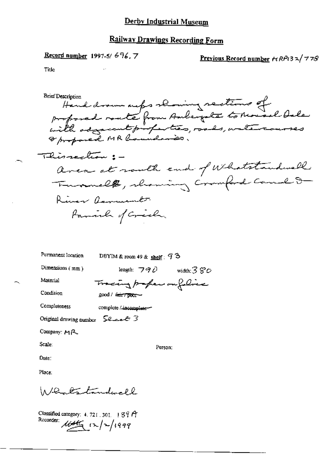#### **Record number** 1997-5/696, 7

Previous Record number  $\forall RP(3,2)$  778

Title

Hand drown outs showing sections of<br>proposed route from Aubergate to Mousel Dale<br>with adjacent profection, roads, watercourses<br>of proposed MR boundaries. Brief Description Thissection: area at routh end of Whatstandwell Trummelt, chaming Compand Canal 8 River Remember Family of Crick,

Permanent location DBYIM & room 49 & shelf:  $93$ Dimensions (mm) leagth:  $790$  width:  $380$ Material Tracing profession foliace Condition good / <del>fair / poor –</del> Completeness complete / incomplete-Original drawing number  $\sum_{n=1}^{\infty}$   $\mathcal{L}$  3

Company: MR

Scale:

Person:

Date:

Place:

Whatstandwell

Classified category:  $4.721.301.$   $89.9$ Recorder: 16446  $(x)/2/1999$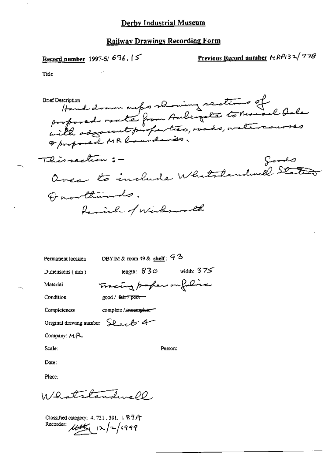Record number 1997-5/696. [5

Previous Record number HRP132/778

Title

reversion Hand drawn maps showing rections of **Brief Description** Oproposed MR Council mais. Thissection :foods Over to include Whatslandwell States Quarthinands. family of Wirksworth

Permanent location

DBYIM & room 49 & shelf:  $93$ 

Dimensions (mm)

Material

Condition

Tracing professor folia good / fair / poor-

Completeness

complete / incomplete

Original drawing number Sheel 4

Company:  $M$   $\sim$ 

Scale:

Person:

length:  $830$  width:  $375$ 

Date:

Place:

11/2 strtandure 00

Classified category: 4, 721, 301, 187A Recorder:  $\mu t \in (2/7/999$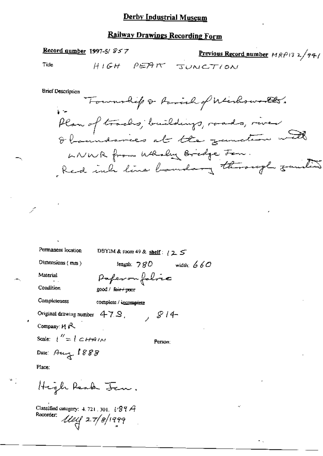### **Railway Drawings Recording Form**

#### Title

Record number 1997-5/ $\mathcal{S} \leq 7$ 

Previous Record number MRP13 2/94/ HIGH PEAK JUNCTION

**Brief Description** 

Township & Ravish of Wichows the. Plan of tracks; buildings, roads, river<br>Oboundances at the zametime with LNWR from Whaley Bridge For. Red inh line bandary through smaller

Permanent location DBYIM & room 49 & shelf:  $125$ Dimensions  $(mn)$ length:  $780$  width:  $660$ Paperonfolic Material Condition good / fair + poor Completeness complete / incomplete Original drawing number  $47.9$ ,  $814-$ Company: MR Scale:  $\int'' = \int d^2H A^2/N$ Person: Date: Aug 1888 Place: High Reach Jen.

Classified category: 4, 721, 301,  $1.89A$ Recorder:  $\frac{1}{2}$   $\frac{1}{2}$   $\frac{1}{2}$   $\frac{1}{2}$   $\frac{1}{2}$   $\frac{1}{2}$   $\frac{1}{2}$   $\frac{1}{2}$   $\frac{1}{2}$   $\frac{1}{2}$   $\frac{1}{2}$   $\frac{1}{2}$   $\frac{1}{2}$   $\frac{1}{2}$   $\frac{1}{2}$   $\frac{1}{2}$   $\frac{1}{2}$   $\frac{1}{2}$   $\frac{1}{2}$   $\frac{1}{2}$   $\frac{1}{2}$   $\frac{1}{2}$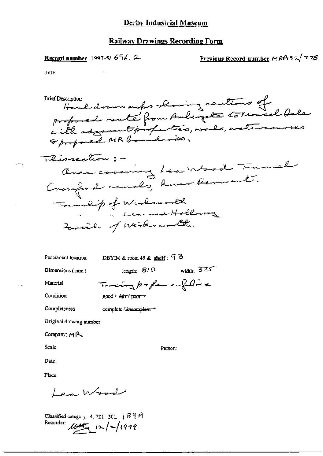Record number 1997-5/696. 2.

Previous Record number  $r_1RP_132/778$ 

Title

mercapion Hand drown meps showing sections of<br>proposed route from Aulegate tomousel Oale **Brief Description** Thissection : -Area consing Lea Wood Tunnel Township of Westwood<br>Pomile of Wishmond Holloway

Permanent location

DBYIM & room 49 & shelf:  $93$ 

Tracing paper or folice

Dimensions (mm)

length:  $810$  width:  $375$ 

Material

Condition

good / fair / poor -

Completeness

complete / incomplete-

Original drawing number

Company:  $M_{\rm H}$   $\sim$ 

Scale:

Person:

Date:

Place:

Lea Wood

Classified category:  $4, 721, 301, 189$  A Recorder:  $\mu \rightarrow \pi$  /2/1999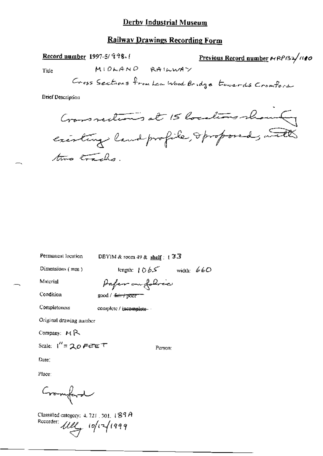### **Railway Drawings Recording Form**

MIDLAND RAILWAY

Record number 1997-5/998.

Previous Record number NRP132/110

Title

Gross Sections from Lea Wood Bridge towards Cromford

**Brief Description** 

Crossseeting at 15 locations showing existing land profile, Oproposed, with two tracks.

Permanent location

DBYIM & room 49 & shelf: 133

Dimensions (mm)

length:  $1065$  width:  $660$ 

Person:

Material

Condition

Paper on folice good / fair / poor

Completeness

complete / incomplete-

Original drawing number

Company: MR

Scale:  $1'' = 20$  FeTE T

Date:

Place:

Cramford

Classified category: 4, 721, 301, 489A Recorder: Ully 10/12/1999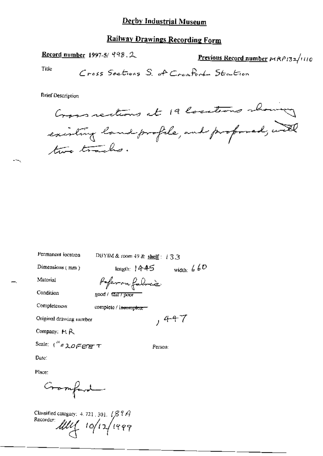## Railway Drawings Recording Form

Record number 1997-5/  $998.2$ 

Previous Record number PAP132/1110

Title

**Brief Description** 

Cross rections at 19 locations showing existing land profile, and proposed, with two tracks.

Permanent location DBYIM & room 49 & shelf: 133 width:  $660$ Dimensions (mm)  $length: 1445$ Poferon folice Material Condition good / tair / poor Completeness complete / incomplete- $,447$ Original drawing number Company: MR Scale:  $\int_{0}^{R} \varepsilon \lambda \rho \in \mathbb{R}$ Person: Date:

Gramfard

Classified category: 4, 721, 301,  $\sqrt{8}$   $\frac{9}{4}$ Recorder  $\mathcal{U}\mathcal{U}$  10/12/1999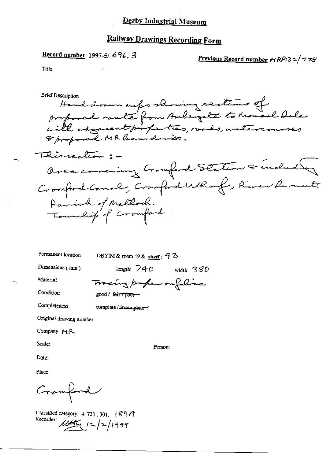# **Railway Drawings Recording Form**

**Record number** 1997-5/696, 3

Previous Record number  $\kappa R$ P(32/778

Title

**Brief Description** Hand drawn outer showing sections of<br>proposed route from Ambergate to Rousel Oule Thissection :-Overcovering Comford Station & indudly Cromford Canal, Cromford Who of, River Remember Panish of Mallock.<br>Township of Cromford

Permanent location

DBYIM & room 49 & shelf :  $93$ 

Tracing poper outflice

Dimensions (mm)

length:  $740$  width:  $380$ 

Material Condition

Completeness

 $good /$  fair  $\tau$  poor  $\sim$ 

complete / incomplete-

Original drawing number

Company: MA

Scale:

Person:

Date:

Cramford

Classified category: 4, 721, 301,  $897$ Recorder: 1645 (2/2/1999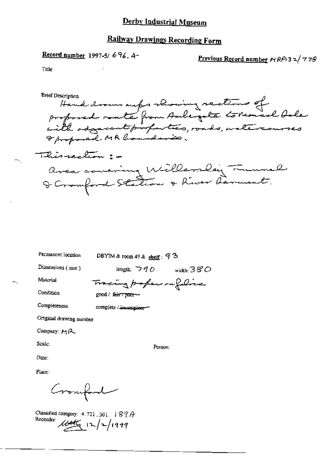## **Railway Drawings Recording Form**

Record number 1997-5/696.4-

### Previous Record number  $r_1RP_132/778$

Title

Hand drown outer showing rections of<br>profored rate from Aubergate to nonad bale<br>with adjacent profection, roads, watercourses **Brief Description** This rection : avea concing Willers ley Funnel

Permanent location

DBYIM & room 49 & shelf :  $93$ 

Dimensions (mm)

length:  $\neg q$   $\phi$   $\psi$   $\psi$   $\mathcal{B}^{\circ}$   $\mathcal{B}^{\circ}$ 

Material Condition Tracing paper on filice  $good /$  fair  $7$  poor  $-$ 

Completeness

complete / incomplete-

Original drawing number

Company: MR

Scale:

Person:

Date:

Cromford

Classified category: 4, 721, 301,  $894$ Recorder:  $\frac{1}{4\pi\sqrt{2}}$   $\frac{1}{2}$   $\frac{1}{4999}$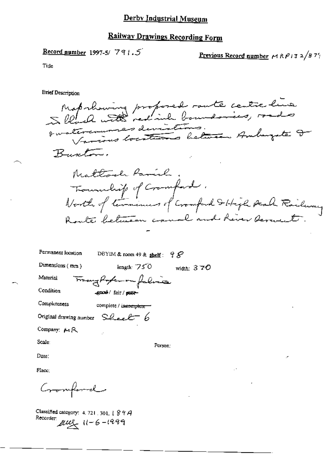## Railway Drawings Recording Form

Previous Record number 
$$
\mu R P
$$
 3 2/8 7<sup>4</sup>

Tille

**Brief Description** 

Maprhowing proposed route centre line tuaterarmes deviations. Various locations between Amburgate I Buscler. Mattoch Parish Tournlif of Cromford.<br>North of termines of Cromford Striph Acal Roileau Route between canal and River several Permanent location DBYIM & room 49 & shelf:  $98$ Dimensions (mm)

width:  $370$ 

Tranghofenom falina Material

Condition

good/fair/poor-

Completeness

complete / incomplete

length:  $750$ 

Original drawing number  $S$ leel  $E - 6$ 

Company: MR

Scale:

Person:

Date:

Place:

Cromford

Classified category: 4, 721, 301, § 8 9 A Recorder:  $\mu\mu$   $11 - 6 - 1999$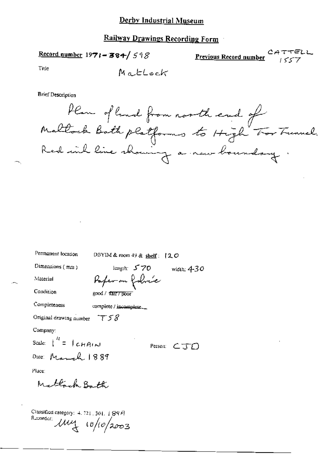## **Railway Drawings Recording Form**

Record number  $1971 - 384 / 598$ 

Previous Record number تحديث

Title

MatLock

**Brief Description** 

Plan of land from north end of<br>Maltock Both platforms to High Tor Tunnel.<br>Red with line showing a new boundary.

| Permanent location                       | DBYIM & room 49 & shelf: $120$                  |               |
|------------------------------------------|-------------------------------------------------|---------------|
| Dimensions (mm)                          | length: $570$                                   | width: $4-30$ |
| Material                                 | Poper on fobric                                 |               |
| Condition                                | good / fair / poor                              |               |
| Completeness                             | complete / incomplete                           |               |
| Original drawing number $\tau$ 5 $\beta$ |                                                 |               |
| Company:                                 |                                                 |               |
| Scale: $\int_0^H = \int cH A(x)$         | Person: $\subset \overline{\mathcal{J}}$ $\cap$ |               |
| Date: March 1889                         |                                                 |               |
| Place:                                   |                                                 |               |
| Mattack Bath                             |                                                 |               |

Classified category: 4, 721, 301, 1 8947 Recorder: 114 10/10/2003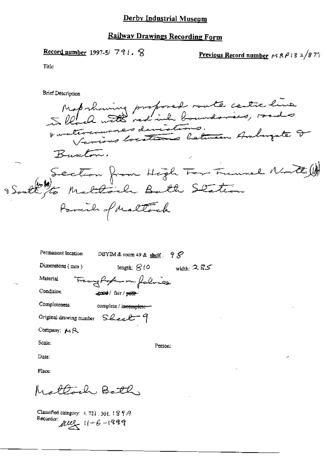Record number 1997-5/791.  $\%$ 

Previous Record number  $MRP132/877$ 

Title

**Brief Description** 

Map showing proposed route centre live Busclon. Section from High Tor Freund Natt Parcile of Maltack

| Permanent location      | DBYIM & room 49 & shelf: $98$ |              |
|-------------------------|-------------------------------|--------------|
| Dimensions $(mn)$       | length: $800$                 | width: $285$ |
| Material                | Trangfortun falina            |              |
| Condition               | good / fair / poor-           |              |
| Completeness            | complete / incomplete--       |              |
| Original drawing number | Sheet 4                       |              |
| Company: MR             |                               |              |
|                         |                               |              |

Scale:

Person:

Date:

Place:

Mattoch Bath

Classified category:  $4, 721, 301, 1897$ Recorder:  $\mu u_1 + 6 - 1999$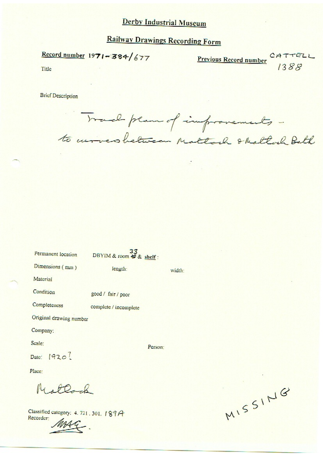# **Railway Drawings Recording Form**

Record number 1971-384/677

**Previous Record number** CATTELL

Title

**Brief Description** 

Trad plan of improvements to arrosbetween Mattoch & Mattoch Bath

| Permanent location      | 33<br>DBYIM & room + & shelf: |        |
|-------------------------|-------------------------------|--------|
| Dimensions (mm)         | length:                       | width: |
| Material                |                               |        |
| Condition               | good / fair / poor            |        |
| Completeness            | complete / incomplete         |        |
| Original drawing number |                               |        |
| Company:                |                               |        |
| Scale:                  | Person:                       |        |
| Date: 1920?             |                               |        |
| Place:                  |                               |        |

Classified category: 4.721.301.189A Recorder:

Mattock

MISSING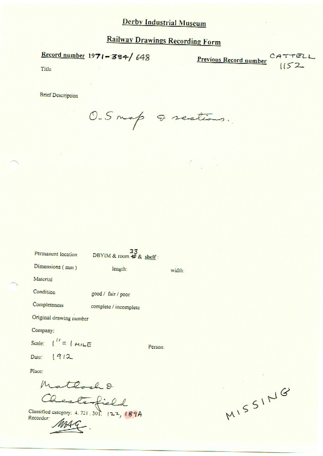# **Railway Drawings Recording Form**

 $\frac{\text{Record number}}{1971 - 384}$  648

Previous Record number  $CATTELL$ 

Title

**Brief Description** 

O.Smap Q sections.

| Permanent location                 | 33<br>DBYIM & room + & shelf: |         |
|------------------------------------|-------------------------------|---------|
| Dimensions (mm)                    | length:                       | width:  |
| Material                           |                               |         |
| Condition                          | good / fair / poor            |         |
| Completeness                       | complete / incomplete         |         |
| Original drawing number            |                               |         |
| Company:                           |                               |         |
| Scale: $\int_{0}^{17} = \int$ MILE |                               | Person: |
| Date: 1912                         |                               |         |
| Place:                             |                               |         |
|                                    | el 2                          |         |

Classified category: 4.721.301. 122, 189A Recorder:

MISSING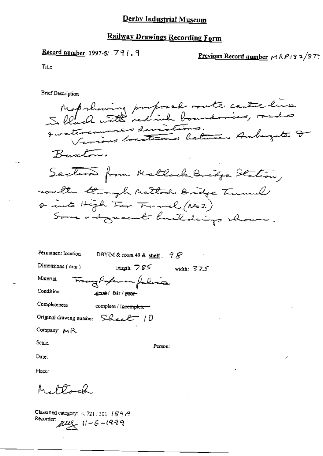## Railway Drawings Recording Form

Record number 1997-5/791.9

<u>Previous Record number</u>  $r \wedge \beta$  13  $\frac{1}{3} \frac{7}{3}$ 

Title

**Brief Description** 

Maprhowing proposed route centre line an nous assessed deviations.<br>Durieus locations between Amburgate D Buston. Section from Mallock Bridge Station, well through Mattoch Bridge Tunnel or into High For Funnel (No2) Some adgreeat huildings shown.

| Permanent Iocation | DBYTM & room $49$ & shelf:<br>98 |
|--------------------|----------------------------------|
| Dimensions $(mn)$  | length: $785$<br>width: $375$    |
| Material           | Tracy Porker on falina           |
| Condition          | good / fair / pear-              |
| Completeness       | complete / incomplete            |
|                    | Original drawing number Sheet 10 |
| Company: MR        |                                  |

Scale:

Person:

Date:

Place:

Mattonah.

Classified category: 4, 721, 301, 189A Recorder  $\mu v \leq 11-6-1999$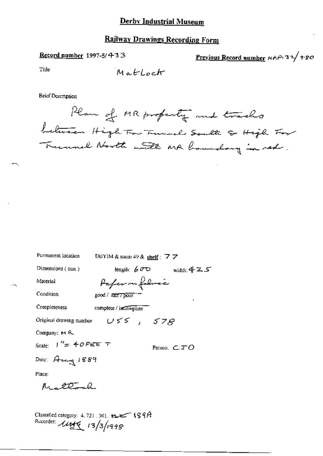## Railway Drawings Recording Form

#### Record number 1997-5/433

Previous Record number  $MAP$  32/780

Title

**Brief Description** 

Plan of MR property and tracks between High Tor Tunnel South & High Tor Trummel North with AR houndary in red.

| Permanent location       | DBYIM & room 49 & shelf : $\overline{7}$ $\overline{7}$                                        |
|--------------------------|------------------------------------------------------------------------------------------------|
| Dimensions (mm)          | length: $60^\circ$ width: 4 Z S                                                                |
| Material                 | Pafer on folimic                                                                               |
| Condition                | good / fair / poor                                                                             |
| Completeness             | complete / incomplete                                                                          |
| Original drawing number  | $USS$ , $S7S$                                                                                  |
| Company: M R.            |                                                                                                |
| Scale: リ″= チのどごま テ       | Person. $\subset \mathcal{TO}$                                                                 |
| Dale: Aug 1889           |                                                                                                |
| Place:                   |                                                                                                |
| Mrstena                  |                                                                                                |
|                          |                                                                                                |
| Recorder: 1449 13/3/1998 | Classified category: $4,721$ , $301$ , $\epsilon_2$ and $\epsilon_3$ $\epsilon_4$ $\epsilon_5$ |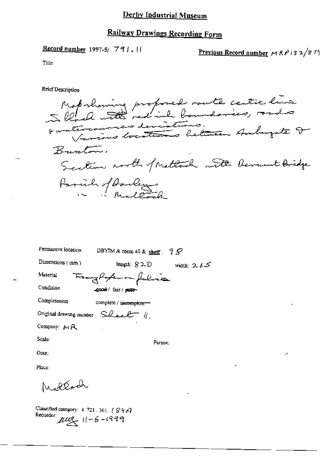#### **Record number** 1997-5/  $791.$

Previous Record number  $MRP132/879$ 

Title

**Brief Description** 

Mob showing proposed route centre line Burton. Section north of Methand with Derment Bridge Parcile of Darleys

| Permanent location | DBYIM & room 49 & shelf: $2S$                |
|--------------------|----------------------------------------------|
| Dimensions $(mn)$  | length: 820<br>width: $2.65$                 |
| Material           | Frangholomon falina                          |
| Condition          | good / fair / peer-                          |
| Completeness       | complete / incomplete                        |
|                    | Original drawing number $SLee$ $\ell$ $\ell$ |
| Company: MR        |                                              |
| Scale:             | Person:                                      |
| Date:              |                                              |
| Place:             |                                              |
| Modtach            |                                              |

Classified category:  $4.721$ ,  $301$ .  $1897$ Recorder:  $\mu u_2$  11-6-1999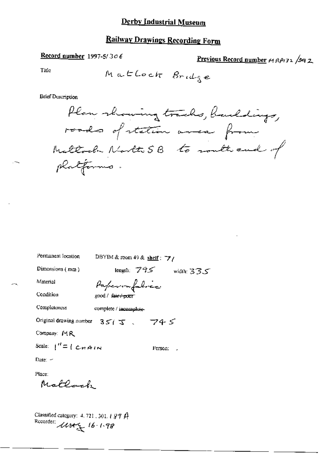## Railway Drawings Recording Form

## Record number 1997-5/306

Previous Record number  $\kappa$ 1 RPI32 /342

Title

**Brief Description** 

Permanent location

DBYIM & room 49 & shelf:  $\overrightarrow{7}$ /

Dimensions (mm)

length:  $795$  width:  $335$ 

Person: J

Condition

Material

 $-1$ 

Paperonfolice good / fair+poor

Completeness complete / incomplete-

Original drawing number  $35/5$ ,  $745$ 

Company: MR

Scale:  $1'' = 1$  CHAIN

Date:  $-$ 

Place: Mattock

Classified category: 4.721, 301, 1994<br>Recorder:  $\mathcal{U}\mathcal{U}\mathcal{U}$   $\mathcal{U}$   $\mathcal{U}$   $\mathcal{U}$   $\mathcal{U}$   $\mathcal{U}$   $\mathcal{U}$   $\mathcal{U}$   $\mathcal{U}$   $\mathcal{U}$   $\mathcal{U}$   $\mathcal{U}$   $\mathcal{U}$   $\mathcal{U}$   $\mathcal{U}$   $\mathcal{U}$   $\mathcal{U}$   $\mathcal{U}$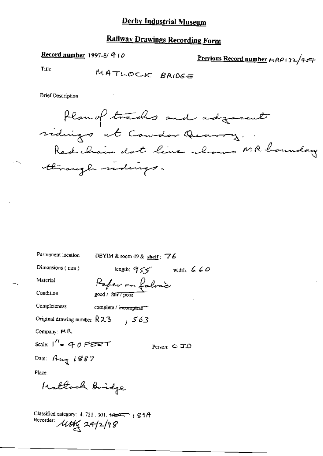#### Record number 1997-5/ 410

Previous Record number  $H(RP + 3L/454)$ 

Title

MATLOCK BRIDGE

**Brief Description** 

Plan of trades and adjourned vidings at Counter Quarry. Red chain dot line shows MR houndary through ridings.

| Permanent location                           | DBYIM & room $49$ & shelf $\pm$ 76 |  |
|----------------------------------------------|------------------------------------|--|
| Dimensions $(mn)$                            | length: $955$ width: 660           |  |
| Material                                     | Paper on fabric                    |  |
| Condition                                    | good / fair <del>/poor</del>       |  |
| Completeness                                 | complete / incomplete              |  |
| Original drawing number $R23$                | 363 ر                              |  |
| Company: $M R$                               |                                    |  |
| Scale: $1'' = 40$ PERT                       | Person: $C$ $\Box$ $D$             |  |
| Date: Aug 1887                               |                                    |  |
| Place.                                       |                                    |  |
| Maltock Bridge                               |                                    |  |
| Classified category: 4, 721, 301, 1227, (SIA |                                    |  |

Recorder: 11th 24/2/98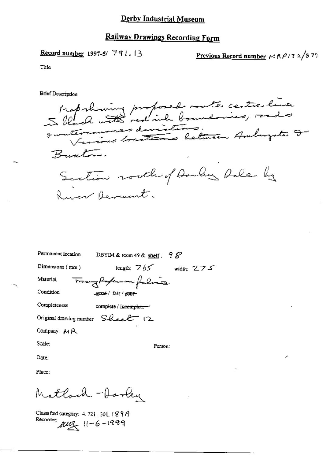Record number 1997-5/791.13

Previous Record number  $M R P 13 2/8 7$ 

Title

**Brief Description** 

Map showing proposed soute centre line Buston. Section routh of Danker hale by Ruser Remant.

| Permanent location<br>DBYIM & room 49 & shelf: $98^{\circ}$ |
|-------------------------------------------------------------|
| Dimensions $(mn)$<br>length: $765$<br>width: $275$          |
| Trangfortuna falina<br>Material                             |
| Condition<br>-good-/ fair/poet-                             |
| Completeness<br>complete / incomplete --                    |
| Original drawing number $S\ell_{\text{cell}}$ (2)           |
| Company: MR                                                 |
| Scale:<br>Person:                                           |
| Date:                                                       |
| Place:                                                      |
|                                                             |

Mathod - Jarky

Classified category: 4. 721 301,  $1899$ Recorder:  $\mu u$ ,  $11 - 6 - 1999$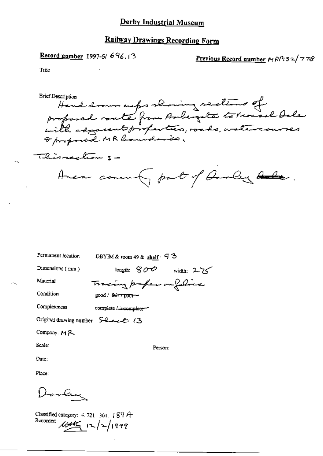#### Record number 1997-5/696.13

## Previous Record number  $H R P t 3 2 / 778$

Title

Hand drown outer showing sections of<br>proposed route from Aubergate to Monsoel Oale<br>with associat properties, roads, watercourses<br>a proposed MR loundaries. Brief Description Thissection :-Avere commonly part of Davley Role.

Permanent location

DBYIM & room 49 & shelf:  $73$ 

Tracing profess on foliac

Dimensions (mm)

length:  $800$  width:  $225$ 

Material Condition

 $good /$   $f_{\text{diff}}$   $p_{\text{NOT}}$  -

Completeness complete / incomplete-

Original drawing number Served 13

Company:  $M$  $\sim$ 

Scale:

Person:

Date:

Place:

Darley

Classified category:  $4.721.301.189A$ Recorder:  $\frac{1}{4\pi\sqrt{2}}$   $\frac{1}{2}\sqrt{2}/1999$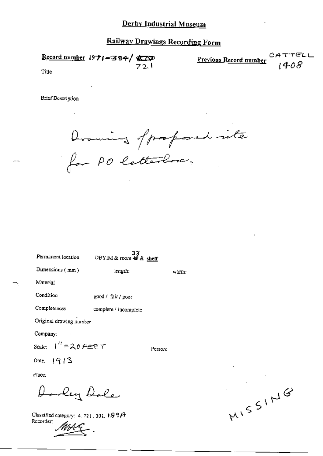Record number 1971-384/ T@ ) -Previous Record number Title

**Brief Description** 

Drawing of professed inter<br>for PO letterboro.

 $33$ <br>DBYIM & room  $49$  & shelf: Permanent focation Dimensions (mm) length: width: Material Condition good / fair / poor Completeness complete / incomplete Original drawing number Company: Scale:  $1'' = 20$  FEET Person: Date:  $1913$ 

Place:

Dorley Dole

Classified category: 4, 721, 301,  $189A$ Recorder:

MISSING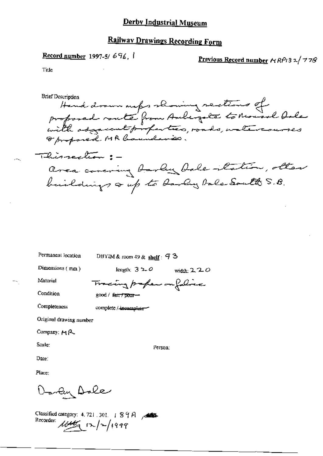Record number 1997-5/696, I

Previous Record number  $\forall RP(3,2/77S)$ 

Title

**Brief Description** Hand drown maps showing sections of with adjacent profection, roads, watercourses Thissection : area covering barber bale-tation, other buildings of to hardly bale South S.B.

Permanent location

DBYIM & room 49 & shelf:  $93$ 

Tracing profess on foliac

Dimensions (mm)

length;  $320$  width;  $220$ 

Material Condition

good / fair / poor-

Completeness

complete / incomplete

Original drawing number

Company: MR

Scale:

Person:

Date:

Place:

Darley Dale

Classified category: 4.721.301. | 89A / Recorder:  $\frac{1}{4446}$   $\frac{1}{2}$   $\frac{1}{4999}$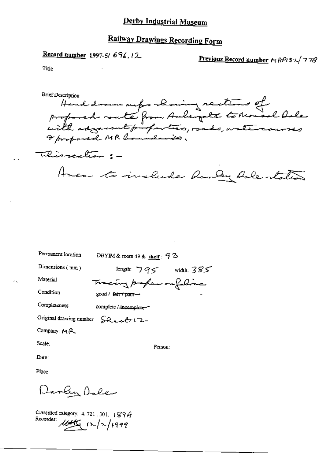# **Railway Drawings Recording Form**

Record number 1997-5/696.12

Previous Record number  $r_1RP_132/778$ 

Title

Hand drawn outer showing restions of<br>proposed route from Auberpote to reveal bale<br>with adjacent profection, roads, watercourses **Brief Description** Thisrection :-Amen to include handy hole states

Permanent Iocation DBYIM & room 49 & shelf:  $93$ 

Dimensions (mm)

length:  $795$  width:  $385$ 

Tracing profess on folice

Condition

Material

good / fair / poor-

Completeness complete / incomplete -

Original drawing number SQ et l'2-

Company: MR

Scale:

Person:

Date:

Darly Dale

Classified category: 4, 721 .301 | 89A Recorder:  $\frac{1}{4000}$  (x/x/1999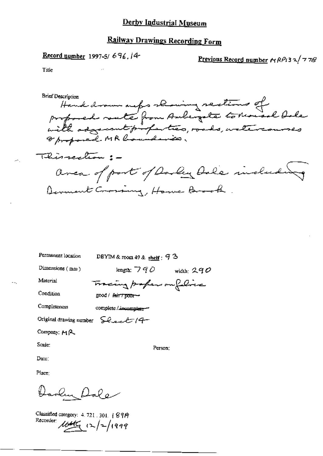Previous Record number  $\mu$  RPi3 2/778

Title

Hand drawn outs showing sections of<br>profored rate from Aubergate to Mousel bale<br>with adjacent profection, roads, watercourses **Brief Description** This rection: avea of port of Darley Dale includes Demant Crossing, Howe Brook

Permanent location

DBYIM & room 49 & shelf :  $93$ 

Dimensions (mm)

length:  $790$  width: 290

Material Condition Tracing paper ou felice good / fair 7 poor-

Completeness

complete / incomplete-

Original drawing number  $\sum Q_{\text{max}} \ell^{-1} (4 -$ 

Company: MR

Scale:

Person;

Date:

Darlin Dale

Classified category: 4.721, 301. | 8919 Recorder: 1645  $(x)/2/1999$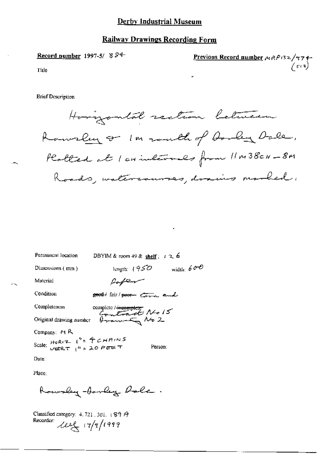#### **Railway Drawings Recording Form**

Record number 1997-5/8 $94$ Previous Record number MRP132/974- $\mathcal{L}_{\text{SUS}}$ Title

**Brief Description** 



| Permanent Incation                      | DBYIM & room 49 & <u>shelf</u> ; r 2, 6                                  |
|-----------------------------------------|--------------------------------------------------------------------------|
| Dimensions (mm)                         | width: $600$<br>length: $(950$                                           |
| Material                                | Paper                                                                    |
| Condition                               | good / fair / pour tom and                                               |
| Completeness                            |                                                                          |
|                                         | Completeness complete / incomplete<br>Original drawing number $\theta$ - |
| Company: $M R$                          |                                                                          |
| Scale: HORIZ $1'' = \frac{4}{3}$ CHAINS | Person:                                                                  |
| Date∶                                   |                                                                          |
| Place:                                  |                                                                          |

Rowsley-barley Dale.

Classified category:  $4.721.301.189A$ Recorder:  $22\pi$   $(7/7/1999)$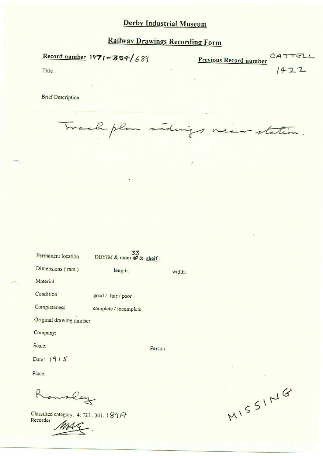Record number  $1971 - 384/689$ 

Previous Record number  $0.477722$ 

Title

**Brief Description** 

Track plan sidings near station.

| Permanent location      | 33<br>DBYIM & room + & shelf: |        |
|-------------------------|-------------------------------|--------|
| Dimensions (mm)         | length:                       | width: |
| Material                |                               |        |
| Condition               | good / fair / poor            |        |
| Completeness            | complete / incomplete         |        |
| Original drawing number |                               |        |
| Company:                |                               |        |
| Scale:                  | Person:                       |        |
| Date: $1915$            |                               |        |
| Place:                  |                               |        |
|                         |                               |        |

Rowsley

Classified category: 4.721, 301.1897 Recorder:

MISSING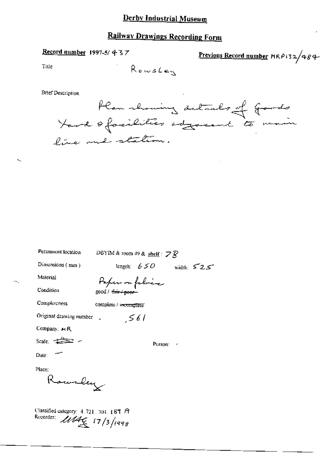### Record number 1997-5/437

Previous Record number MRP132/484-

Title

**Brief Description** 



| Permanent location                       | DBYIM & room 49 & shelf: $\mathbb{Z} \hat{\mathcal{R}}$ |                       |               |
|------------------------------------------|---------------------------------------------------------|-----------------------|---------------|
| Dimensions $(mn)$                        |                                                         | length: $650$         | width: $52.5$ |
| Material                                 | Paper on folice                                         |                       |               |
| Condition                                | good / <del>fair / peor -</del>                         |                       |               |
| Completeness                             | complete / incomplete                                   |                       |               |
| Original drawing number                  |                                                         | 561                   |               |
| Company: $\mu$ R                         |                                                         |                       |               |
| Scale: $\pm \pm \pm \rightarrow$         |                                                         | Person: $\rightarrow$ |               |
| Date:                                    |                                                         |                       |               |
| Place:                                   |                                                         |                       |               |
| Rowrley                                  |                                                         |                       |               |
| Classified category: 4, 721, 301, 189 ft |                                                         |                       |               |

Recorder: 1164 17/3/1998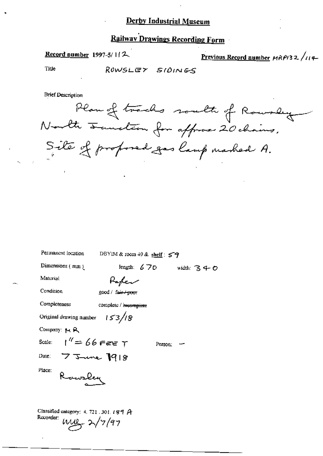# Railway Drawings Recording Form

Record number 1997-5/112

Previous Record number  $HRP/32$ /114

Title

ROWSLEY SIDINGS

**Brief Description** 

Plan of tracks south of Rousley North Fauncheon for affrase 20 chains. Site of proposed gas lamp mashed A.

O

| Permanent location                                                                | DBYIM & room $+9$ & shelf: $57$ |               |             |
|-----------------------------------------------------------------------------------|---------------------------------|---------------|-------------|
| Dimensions $(mm)$                                                                 |                                 | length: $670$ | width: $34$ |
| Material                                                                          | Refer                           |               |             |
| Condition                                                                         | good / fair / poor              |               |             |
| Completeness                                                                      | complete / is essmplete         |               |             |
| Original drawing number $153/8$                                                   |                                 |               |             |
| Company: M.R.                                                                     |                                 |               |             |
| Scale: $1'' = 66$ Fee T                                                           |                                 | Person:       |             |
| Date: $75$ me 1918                                                                |                                 |               |             |
| Place:<br>Rawsley                                                                 |                                 |               |             |
| Classified category: 4, 721, 301, 189 $A$<br>Recorder:<br>$m_{12} \lambda / 7/97$ |                                 |               |             |